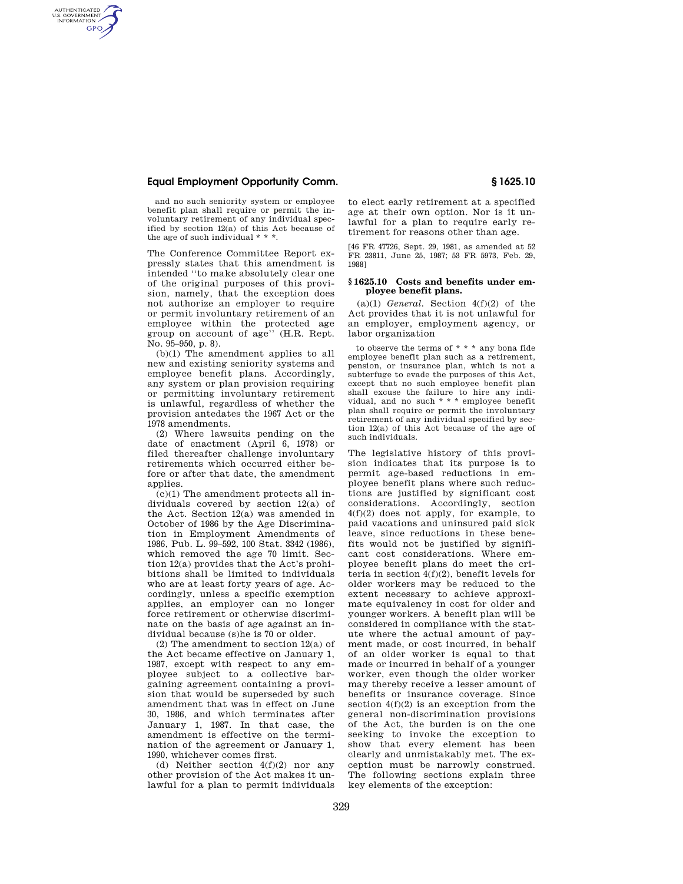## **Equal Employment Opportunity Comm. § 1625.10**

AUTHENTICATED<br>U.S. GOVERNMENT<br>INFORMATION **GPO** 

> and no such seniority system or employee benefit plan shall require or permit the involuntary retirement of any individual specified by section 12(a) of this Act because of the age of such individual \* \* \*.

> The Conference Committee Report expressly states that this amendment is intended ''to make absolutely clear one of the original purposes of this provision, namely, that the exception does not authorize an employer to require or permit involuntary retirement of an employee within the protected age group on account of age'' (H.R. Rept. No. 95–950, p. 8).

> (b)(1) The amendment applies to all new and existing seniority systems and employee benefit plans. Accordingly, any system or plan provision requiring or permitting involuntary retirement is unlawful, regardless of whether the provision antedates the 1967 Act or the 1978 amendments.

> (2) Where lawsuits pending on the date of enactment (April 6, 1978) or filed thereafter challenge involuntary retirements which occurred either before or after that date, the amendment applies.

> $(c)(1)$  The amendment protects all individuals covered by section 12(a) of the Act. Section 12(a) was amended in October of 1986 by the Age Discrimination in Employment Amendments of 1986, Pub. L. 99–592, 100 Stat. 3342 (1986), which removed the age 70 limit. Section 12(a) provides that the Act's prohibitions shall be limited to individuals who are at least forty years of age. Accordingly, unless a specific exemption applies, an employer can no longer force retirement or otherwise discriminate on the basis of age against an individual because (s)he is 70 or older.

> (2) The amendment to section 12(a) of the Act became effective on January 1, 1987, except with respect to any employee subject to a collective bargaining agreement containing a provision that would be superseded by such amendment that was in effect on June 30, 1986, and which terminates after January 1, 1987. In that case, the amendment is effective on the termination of the agreement or January 1, 1990, whichever comes first.

(d) Neither section 4(f)(2) nor any other provision of the Act makes it unlawful for a plan to permit individuals

to elect early retirement at a specified age at their own option. Nor is it unlawful for a plan to require early retirement for reasons other than age.

[46 FR 47726, Sept. 29, 1981, as amended at 52 FR 23811, June 25, 1987; 53 FR 5973, Feb. 29, 1988]

#### **§ 1625.10 Costs and benefits under employee benefit plans.**

(a)(1) *General.* Section 4(f)(2) of the Act provides that it is not unlawful for an employer, employment agency, or labor organization

to observe the terms of\*\*\* any bona fide employee benefit plan such as a retirement, pension, or insurance plan, which is not a subterfuge to evade the purposes of this Act, except that no such employee benefit plan shall excuse the failure to hire any individual, and no such \*\*\* employee benefit plan shall require or permit the involuntary retirement of any individual specified by section 12(a) of this Act because of the age of such individuals.

The legislative history of this provision indicates that its purpose is to permit age-based reductions in employee benefit plans where such reductions are justified by significant cost considerations. Accordingly, section 4(f)(2) does not apply, for example, to paid vacations and uninsured paid sick leave, since reductions in these benefits would not be justified by significant cost considerations. Where employee benefit plans do meet the criteria in section 4(f)(2), benefit levels for older workers may be reduced to the extent necessary to achieve approximate equivalency in cost for older and younger workers. A benefit plan will be considered in compliance with the statute where the actual amount of payment made, or cost incurred, in behalf of an older worker is equal to that made or incurred in behalf of a younger worker, even though the older worker may thereby receive a lesser amount of benefits or insurance coverage. Since section  $4(f)(2)$  is an exception from the general non-discrimination provisions of the Act, the burden is on the one seeking to invoke the exception to show that every element has been clearly and unmistakably met. The exception must be narrowly construed. The following sections explain three key elements of the exception: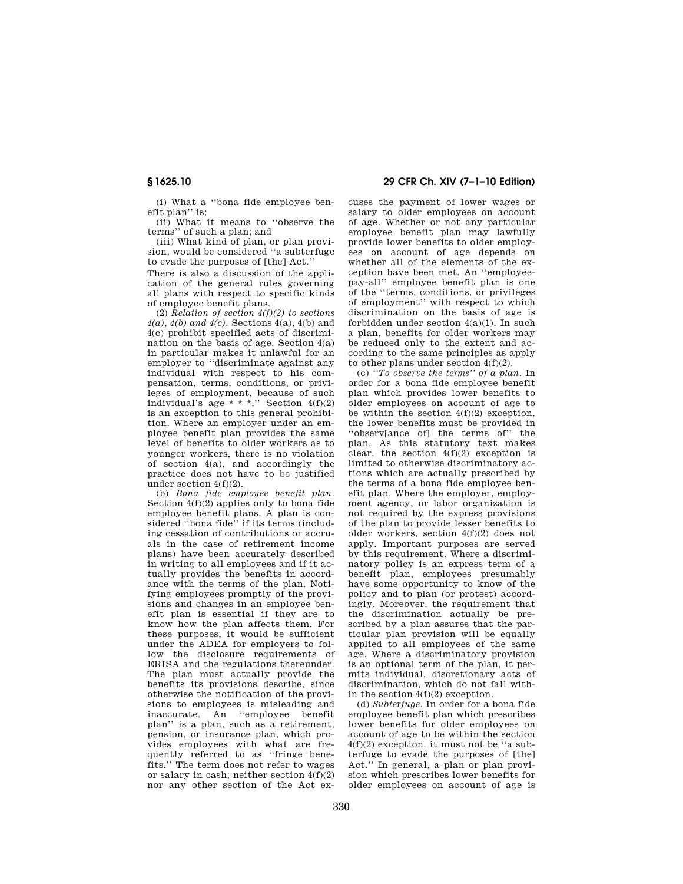(i) What a ''bona fide employee benefit plan'' is;

(ii) What it means to ''observe the terms'' of such a plan; and

(iii) What kind of plan, or plan provision, would be considered ''a subterfuge to evade the purposes of [the] Act.''

There is also a discussion of the application of the general rules governing all plans with respect to specific kinds of employee benefit plans.

(2) *Relation of section 4(f)(2) to sections 4(a), 4(b) and 4(c).* Sections 4(a), 4(b) and 4(c) prohibit specified acts of discrimination on the basis of age. Section 4(a) in particular makes it unlawful for an employer to ''discriminate against any individual with respect to his compensation, terms, conditions, or privileges of employment, because of such individual's age  $* * *$ ." Section  $4(f)(2)$ is an exception to this general prohibition. Where an employer under an employee benefit plan provides the same level of benefits to older workers as to younger workers, there is no violation of section 4(a), and accordingly the practice does not have to be justified under section  $4(f)(2)$ .

(b) *Bona fide employee benefit plan.*  Section 4(f)(2) applies only to bona fide employee benefit plans. A plan is considered "bona fide" if its terms (including cessation of contributions or accruals in the case of retirement income plans) have been accurately described in writing to all employees and if it actually provides the benefits in accordance with the terms of the plan. Notifying employees promptly of the provisions and changes in an employee benefit plan is essential if they are to know how the plan affects them. For these purposes, it would be sufficient under the ADEA for employers to follow the disclosure requirements of ERISA and the regulations thereunder. The plan must actually provide the benefits its provisions describe, since otherwise the notification of the provisions to employees is misleading and inaccurate. An ''employee benefit plan'' is a plan, such as a retirement, pension, or insurance plan, which provides employees with what are frequently referred to as ''fringe benefits.'' The term does not refer to wages or salary in cash; neither section  $4(f)(2)$ nor any other section of the Act ex-

**§ 1625.10 29 CFR Ch. XIV (7–1–10 Edition)** 

cuses the payment of lower wages or salary to older employees on account of age. Whether or not any particular employee benefit plan may lawfully provide lower benefits to older employees on account of age depends on whether all of the elements of the exception have been met. An ''employeepay-all'' employee benefit plan is one of the ''terms, conditions, or privileges of employment'' with respect to which discrimination on the basis of age is forbidden under section 4(a)(1). In such a plan, benefits for older workers may be reduced only to the extent and according to the same principles as apply to other plans under section 4(f)(2).

(c) *''To observe the terms'' of a plan.* In order for a bona fide employee benefit plan which provides lower benefits to older employees on account of age to be within the section  $4(f)(2)$  exception, the lower benefits must be provided in ''observ[ance of] the terms of'' the plan. As this statutory text makes clear, the section  $4(f)(2)$  exception is limited to otherwise discriminatory actions which are actually prescribed by the terms of a bona fide employee benefit plan. Where the employer, employment agency, or labor organization is not required by the express provisions of the plan to provide lesser benefits to older workers, section 4(f)(2) does not apply. Important purposes are served by this requirement. Where a discriminatory policy is an express term of a benefit plan, employees presumably have some opportunity to know of the policy and to plan (or protest) accordingly. Moreover, the requirement that the discrimination actually be prescribed by a plan assures that the particular plan provision will be equally applied to all employees of the same age. Where a discriminatory provision is an optional term of the plan, it permits individual, discretionary acts of discrimination, which do not fall within the section 4(f)(2) exception.

(d) *Subterfuge.* In order for a bona fide employee benefit plan which prescribes lower benefits for older employees on account of age to be within the section 4(f)(2) exception, it must not be ''a subterfuge to evade the purposes of [the] Act.'' In general, a plan or plan provision which prescribes lower benefits for older employees on account of age is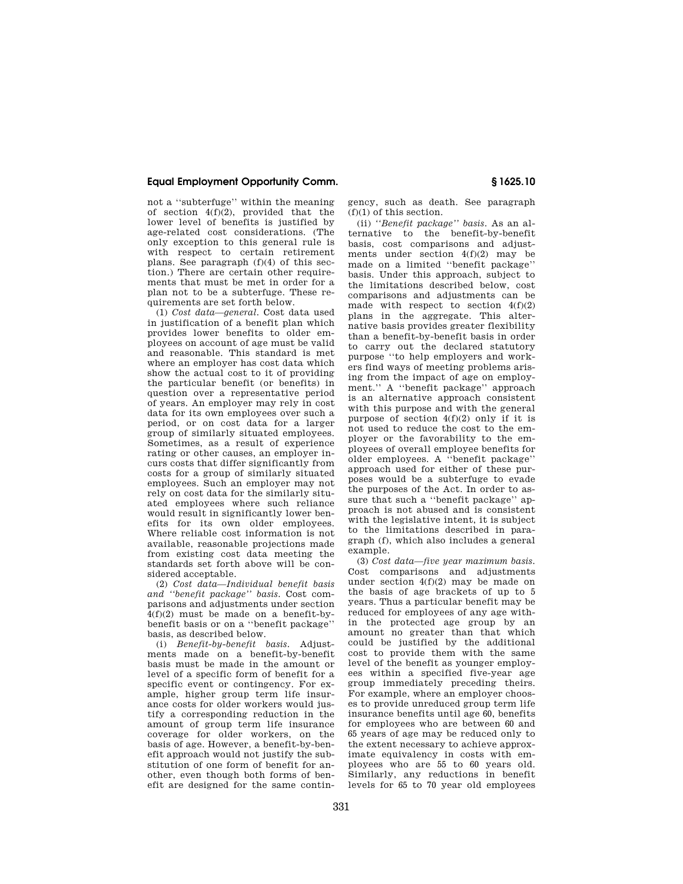## **Equal Employment Opportunity Comm. § 1625.10**

not a ''subterfuge'' within the meaning of section  $4(f)(2)$ , provided that the lower level of benefits is justified by age-related cost considerations. (The only exception to this general rule is with respect to certain retirement plans. See paragraph (f)(4) of this section.) There are certain other requirements that must be met in order for a plan not to be a subterfuge. These requirements are set forth below.

(1) *Cost data—general.* Cost data used in justification of a benefit plan which provides lower benefits to older employees on account of age must be valid and reasonable. This standard is met where an employer has cost data which show the actual cost to it of providing the particular benefit (or benefits) in question over a representative period of years. An employer may rely in cost data for its own employees over such a period, or on cost data for a larger group of similarly situated employees. Sometimes, as a result of experience rating or other causes, an employer incurs costs that differ significantly from costs for a group of similarly situated employees. Such an employer may not rely on cost data for the similarly situated employees where such reliance would result in significantly lower benefits for its own older employees. Where reliable cost information is not available, reasonable projections made from existing cost data meeting the standards set forth above will be considered acceptable.

(2) *Cost data—Individual benefit basis and ''benefit package'' basis.* Cost comparisons and adjustments under section 4(f)(2) must be made on a benefit-bybenefit basis or on a ''benefit package'' basis, as described below.

(i) *Benefit-by-benefit basis.* Adjustments made on a benefit-by-benefit basis must be made in the amount or level of a specific form of benefit for a specific event or contingency. For example, higher group term life insurance costs for older workers would justify a corresponding reduction in the amount of group term life insurance coverage for older workers, on the basis of age. However, a benefit-by-benefit approach would not justify the substitution of one form of benefit for another, even though both forms of benefit are designed for the same contingency, such as death. See paragraph (f)(1) of this section.

(ii) *''Benefit package'' basis.* As an alternative to the benefit-by-benefit basis, cost comparisons and adjustments under section  $4(f)(2)$  may be made on a limited ''benefit package'' basis. Under this approach, subject to the limitations described below, cost comparisons and adjustments can be made with respect to section  $4(f)(2)$ plans in the aggregate. This alternative basis provides greater flexibility than a benefit-by-benefit basis in order to carry out the declared statutory purpose ''to help employers and workers find ways of meeting problems arising from the impact of age on employment.'' A ''benefit package'' approach is an alternative approach consistent with this purpose and with the general purpose of section 4(f)(2) only if it is not used to reduce the cost to the employer or the favorability to the employees of overall employee benefits for older employees. A ''benefit package'' approach used for either of these purposes would be a subterfuge to evade the purposes of the Act. In order to assure that such a ''benefit package'' approach is not abused and is consistent with the legislative intent, it is subject to the limitations described in paragraph (f), which also includes a general example.

(3) *Cost data—five year maximum basis.*  Cost comparisons and adjustments under section  $4(f)(2)$  may be made on the basis of age brackets of up to 5 years. Thus a particular benefit may be reduced for employees of any age within the protected age group by an amount no greater than that which could be justified by the additional cost to provide them with the same level of the benefit as younger employees within a specified five-year age group immediately preceding theirs. For example, where an employer chooses to provide unreduced group term life insurance benefits until age 60, benefits for employees who are between 60 and 65 years of age may be reduced only to the extent necessary to achieve approximate equivalency in costs with employees who are 55 to 60 years old. Similarly, any reductions in benefit levels for 65 to 70 year old employees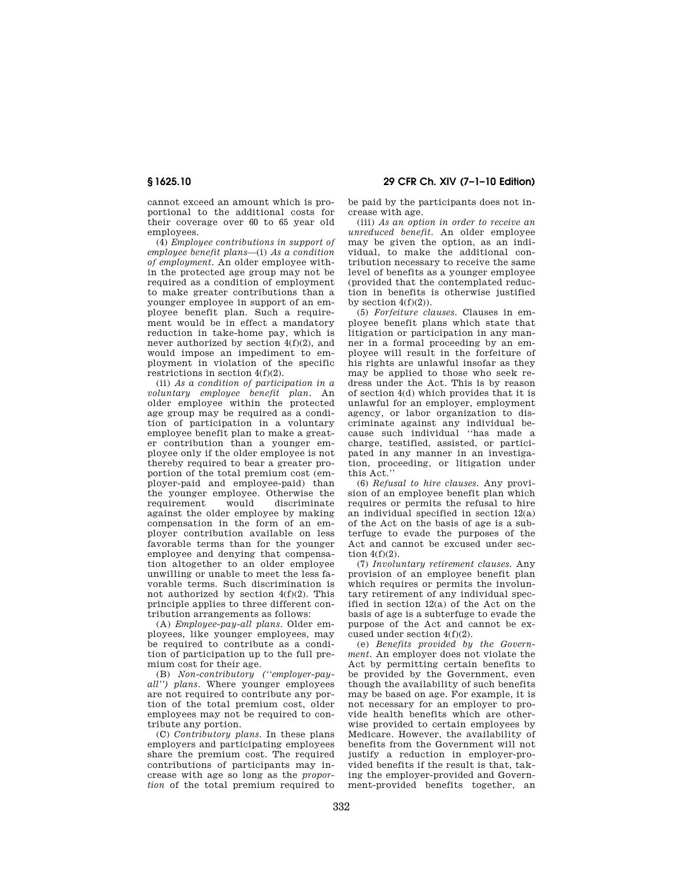cannot exceed an amount which is proportional to the additional costs for their coverage over 60 to 65 year old employees.

(4) *Employee contributions in support of employee benefit plans*—(i) *As a condition of employment.* An older employee within the protected age group may not be required as a condition of employment to make greater contributions than a younger employee in support of an employee benefit plan. Such a requirement would be in effect a mandatory reduction in take-home pay, which is never authorized by section 4(f)(2), and would impose an impediment to employment in violation of the specific restrictions in section 4(f)(2).

(ii) *As a condition of participation in a voluntary employee benefit plan.* An older employee within the protected age group may be required as a condition of participation in a voluntary employee benefit plan to make a greater contribution than a younger employee only if the older employee is not thereby required to bear a greater proportion of the total premium cost (employer-paid and employee-paid) than the younger employee. Otherwise the<br>requirement would discriminate requirement would discriminate against the older employee by making compensation in the form of an employer contribution available on less favorable terms than for the younger employee and denying that compensation altogether to an older employee unwilling or unable to meet the less favorable terms. Such discrimination is not authorized by section  $4(f)(2)$ . This principle applies to three different contribution arrangements as follows:

(A) *Employee-pay-all plans.* Older employees, like younger employees, may be required to contribute as a condition of participation up to the full premium cost for their age.

(B) *Non-contributory (''employer-payall'') plans.* Where younger employees are not required to contribute any portion of the total premium cost, older employees may not be required to contribute any portion.

(C) *Contributory plans.* In these plans employers and participating employees share the premium cost. The required contributions of participants may increase with age so long as the *proportion* of the total premium required to

**§ 1625.10 29 CFR Ch. XIV (7–1–10 Edition)** 

be paid by the participants does not increase with age.

(iii) *As an option in order to receive an unreduced benefit.* An older employee may be given the option, as an individual, to make the additional contribution necessary to receive the same level of benefits as a younger employee (provided that the contemplated reduction in benefits is otherwise justified by section  $4(f)(2)$ ).

(5) *Forfeiture clauses.* Clauses in employee benefit plans which state that litigation or participation in any manner in a formal proceeding by an employee will result in the forfeiture of his rights are unlawful insofar as they may be applied to those who seek redress under the Act. This is by reason of section 4(d) which provides that it is unlawful for an employer, employment agency, or labor organization to discriminate against any individual because such individual ''has made a charge, testified, assisted, or participated in any manner in an investigation, proceeding, or litigation under this Act.''

(6) *Refusal to hire clauses.* Any provision of an employee benefit plan which requires or permits the refusal to hire an individual specified in section 12(a) of the Act on the basis of age is a subterfuge to evade the purposes of the Act and cannot be excused under section  $4(f)(2)$ .

(7) *Involuntary retirement clauses.* Any provision of an employee benefit plan which requires or permits the involuntary retirement of any individual specified in section 12(a) of the Act on the basis of age is a subterfuge to evade the purpose of the Act and cannot be excused under section 4(f)(2).

(e) *Benefits provided by the Government.* An employer does not violate the Act by permitting certain benefits to be provided by the Government, even though the availability of such benefits may be based on age. For example, it is not necessary for an employer to provide health benefits which are otherwise provided to certain employees by Medicare. However, the availability of benefits from the Government will not justify a reduction in employer-provided benefits if the result is that, taking the employer-provided and Government-provided benefits together, an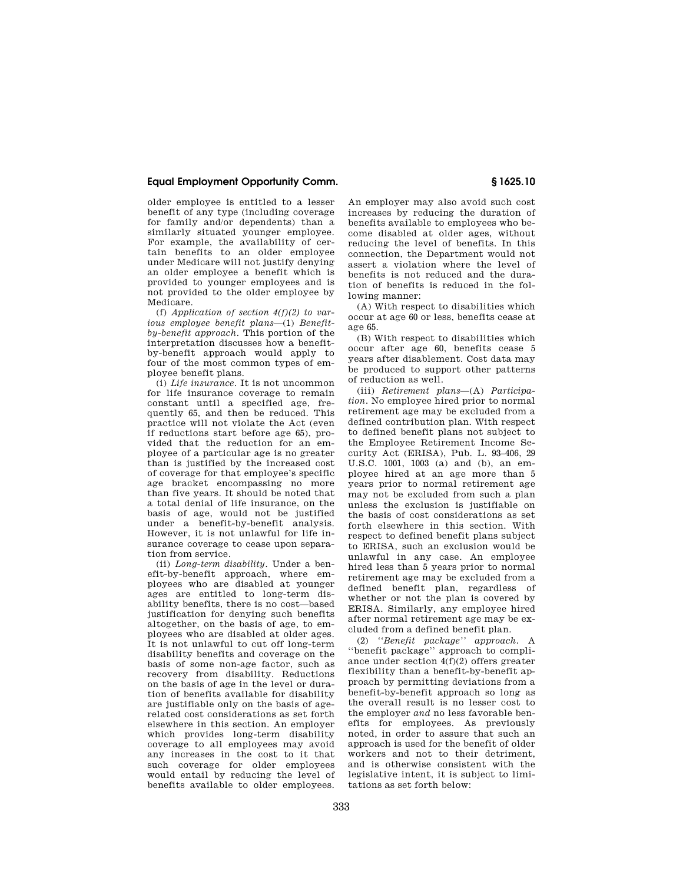### **Equal Employment Opportunity Comm. § 1625.10**

older employee is entitled to a lesser benefit of any type (including coverage for family and/or dependents) than a similarly situated younger employee. For example, the availability of certain benefits to an older employee under Medicare will not justify denying an older employee a benefit which is provided to younger employees and is not provided to the older employee by Medicare.

(f) *Application of section 4(f)(2) to various employee benefit plans*—(1) *Benefitby-benefit approach.* This portion of the interpretation discusses how a benefitby-benefit approach would apply to four of the most common types of employee benefit plans.

(i) *Life insurance.* It is not uncommon for life insurance coverage to remain constant until a specified age, frequently 65, and then be reduced. This practice will not violate the Act (even if reductions start before age 65), provided that the reduction for an employee of a particular age is no greater than is justified by the increased cost of coverage for that employee's specific age bracket encompassing no more than five years. It should be noted that a total denial of life insurance, on the basis of age, would not be justified under a benefit-by-benefit analysis. However, it is not unlawful for life insurance coverage to cease upon separation from service.

(ii) *Long-term disability.* Under a benefit-by-benefit approach, where employees who are disabled at younger ages are entitled to long-term disability benefits, there is no cost—based justification for denying such benefits altogether, on the basis of age, to employees who are disabled at older ages. It is not unlawful to cut off long-term disability benefits and coverage on the basis of some non-age factor, such as recovery from disability. Reductions on the basis of age in the level or duration of benefits available for disability are justifiable only on the basis of agerelated cost considerations as set forth elsewhere in this section. An employer which provides long-term disability coverage to all employees may avoid any increases in the cost to it that such coverage for older employees would entail by reducing the level of benefits available to older employees.

An employer may also avoid such cost increases by reducing the duration of benefits available to employees who become disabled at older ages, without reducing the level of benefits. In this connection, the Department would not assert a violation where the level of benefits is not reduced and the duration of benefits is reduced in the following manner:

(A) With respect to disabilities which occur at age 60 or less, benefits cease at age 65.

(B) With respect to disabilities which occur after age 60, benefits cease 5 years after disablement. Cost data may be produced to support other patterns of reduction as well.

(iii) *Retirement plans*—(A) *Participation.* No employee hired prior to normal retirement age may be excluded from a defined contribution plan. With respect to defined benefit plans not subject to the Employee Retirement Income Security Act (ERISA), Pub. L. 93–406, 29 U.S.C. 1001, 1003 (a) and (b), an employee hired at an age more than 5 years prior to normal retirement age may not be excluded from such a plan unless the exclusion is justifiable on the basis of cost considerations as set forth elsewhere in this section. With respect to defined benefit plans subject to ERISA, such an exclusion would be unlawful in any case. An employee hired less than 5 years prior to normal retirement age may be excluded from a defined benefit plan, regardless of whether or not the plan is covered by ERISA. Similarly, any employee hired after normal retirement age may be excluded from a defined benefit plan.

(2) *''Benefit package'' approach.* A ''benefit package'' approach to compliance under section 4(f)(2) offers greater flexibility than a benefit-by-benefit approach by permitting deviations from a benefit-by-benefit approach so long as the overall result is no lesser cost to the employer *and* no less favorable benefits for employees. As previously noted, in order to assure that such an approach is used for the benefit of older workers and not to their detriment, and is otherwise consistent with the legislative intent, it is subject to limitations as set forth below: